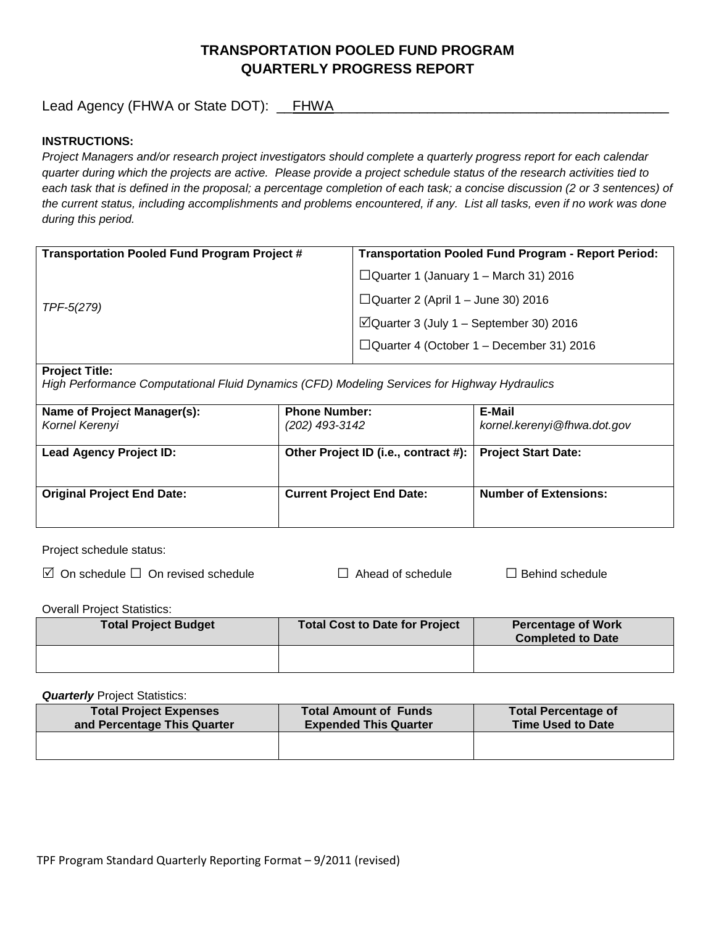# **TRANSPORTATION POOLED FUND PROGRAM QUARTERLY PROGRESS REPORT**

Lead Agency (FHWA or State DOT): \_\_FHWA\_\_\_\_\_\_\_\_\_\_\_\_\_\_\_\_\_\_\_\_\_\_\_\_\_\_\_\_\_\_\_\_\_\_\_\_\_\_\_\_\_\_\_

### **INSTRUCTIONS:**

*Project Managers and/or research project investigators should complete a quarterly progress report for each calendar quarter during which the projects are active. Please provide a project schedule status of the research activities tied to*  each task that is defined in the proposal; a percentage completion of each task; a concise discussion (2 or 3 sentences) of *the current status, including accomplishments and problems encountered, if any. List all tasks, even if no work was done during this period.*

| <b>Transportation Pooled Fund Program Project #</b> | <b>Transportation Pooled Fund Program - Report Period:</b> |
|-----------------------------------------------------|------------------------------------------------------------|
| TPF-5(279)                                          | $\Box$ Quarter 1 (January 1 – March 31) 2016               |
|                                                     | $\Box$ Quarter 2 (April 1 – June 30) 2016                  |
|                                                     | $\Box$ Quarter 3 (July 1 – September 30) 2016              |
|                                                     | $\Box$ Quarter 4 (October 1 – December 31) 2016            |
|                                                     |                                                            |

#### **Project Title:**

*High Performance Computational Fluid Dynamics (CFD) Modeling Services for Highway Hydraulics*

| Name of Project Manager(s):<br>Kornel Kerenyi | <b>Phone Number:</b><br>(202) 493-3142 | E-Mail<br>kornel.kerenyi@fhwa.dot.gov |
|-----------------------------------------------|----------------------------------------|---------------------------------------|
| <b>Lead Agency Project ID:</b>                | Other Project ID (i.e., contract #):   | <b>Project Start Date:</b>            |
| <b>Original Project End Date:</b>             | <b>Current Project End Date:</b>       | <b>Number of Extensions:</b>          |

Project schedule status:

On schedule □ On revised schedule □ Ahead of schedule □ Behind schedule

Overall Project Statistics:

| <b>Total Project Budget</b> | Total Cost to Date for Project | <b>Percentage of Work</b><br><b>Completed to Date</b> |
|-----------------------------|--------------------------------|-------------------------------------------------------|
|                             |                                |                                                       |

**Quarterly** Project Statistics:

| <b>Total Project Expenses</b><br>and Percentage This Quarter | <b>Total Amount of Funds</b><br><b>Expended This Quarter</b> | <b>Total Percentage of</b><br><b>Time Used to Date</b> |
|--------------------------------------------------------------|--------------------------------------------------------------|--------------------------------------------------------|
|                                                              |                                                              |                                                        |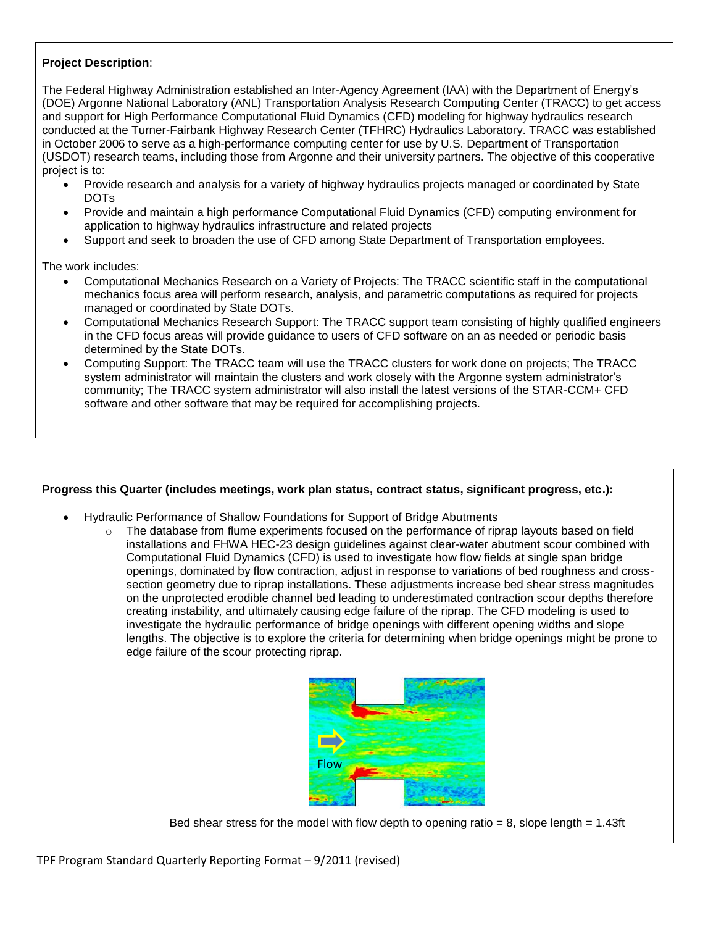## **Project Description**:

The Federal Highway Administration established an Inter-Agency Agreement (IAA) with the Department of Energy's (DOE) Argonne National Laboratory (ANL) Transportation Analysis Research Computing Center (TRACC) to get access and support for High Performance Computational Fluid Dynamics (CFD) modeling for highway hydraulics research conducted at the Turner-Fairbank Highway Research Center (TFHRC) Hydraulics Laboratory. TRACC was established in October 2006 to serve as a high-performance computing center for use by U.S. Department of Transportation (USDOT) research teams, including those from Argonne and their university partners. The objective of this cooperative project is to:

- Provide research and analysis for a variety of highway hydraulics projects managed or coordinated by State DOTs
- Provide and maintain a high performance Computational Fluid Dynamics (CFD) computing environment for application to highway hydraulics infrastructure and related projects
- Support and seek to broaden the use of CFD among State Department of Transportation employees.

The work includes:

- Computational Mechanics Research on a Variety of Projects: The TRACC scientific staff in the computational mechanics focus area will perform research, analysis, and parametric computations as required for projects managed or coordinated by State DOTs.
- Computational Mechanics Research Support: The TRACC support team consisting of highly qualified engineers in the CFD focus areas will provide guidance to users of CFD software on an as needed or periodic basis determined by the State DOTs.
- Computing Support: The TRACC team will use the TRACC clusters for work done on projects; The TRACC system administrator will maintain the clusters and work closely with the Argonne system administrator's community; The TRACC system administrator will also install the latest versions of the STAR-CCM+ CFD software and other software that may be required for accomplishing projects.

### **Progress this Quarter (includes meetings, work plan status, contract status, significant progress, etc.):**

- Hydraulic Performance of Shallow Foundations for Support of Bridge Abutments
	- $\circ$  The database from flume experiments focused on the performance of riprap layouts based on field installations and FHWA HEC-23 design guidelines against clear-water abutment scour combined with Computational Fluid Dynamics (CFD) is used to investigate how flow fields at single span bridge openings, dominated by flow contraction, adjust in response to variations of bed roughness and crosssection geometry due to riprap installations. These adjustments increase bed shear stress magnitudes on the unprotected erodible channel bed leading to underestimated contraction scour depths therefore creating instability, and ultimately causing edge failure of the riprap. The CFD modeling is used to investigate the hydraulic performance of bridge openings with different opening widths and slope lengths. The objective is to explore the criteria for determining when bridge openings might be prone to edge failure of the scour protecting riprap.



Bed shear stress for the model with flow depth to opening ratio  $= 8$ , slope length  $= 1.43$ ft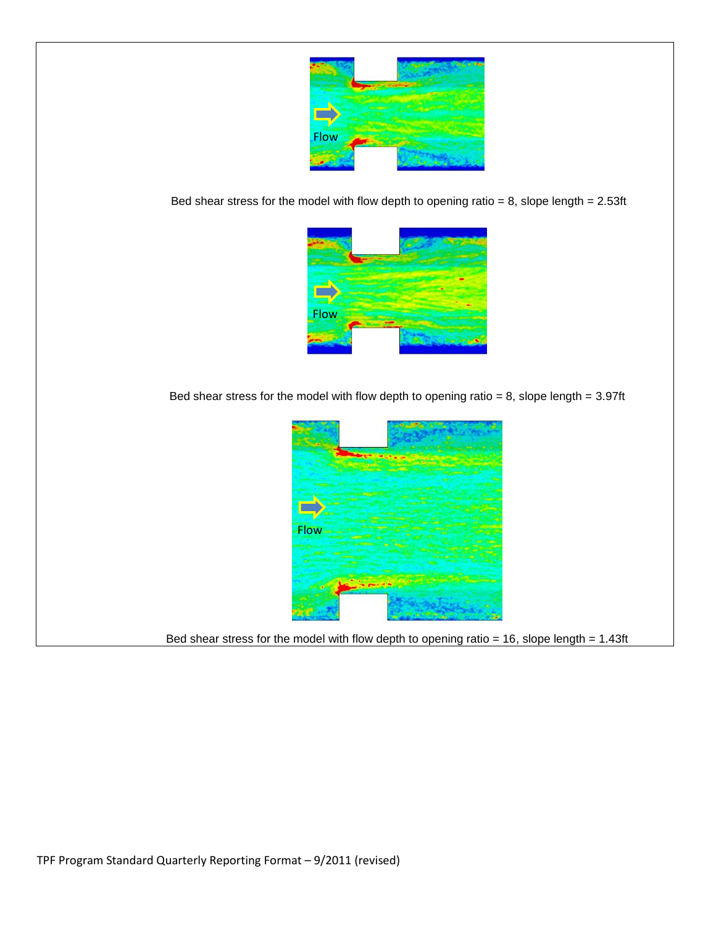

Bed shear stress for the model with flow depth to opening ratio =  $8$ , slope length =  $2.53$ ft



Bed shear stress for the model with flow depth to opening ratio = 8, slope length =  $3.97$ ft



Bed shear stress for the model with flow depth to opening ratio =  $16$ , slope length = 1.43ft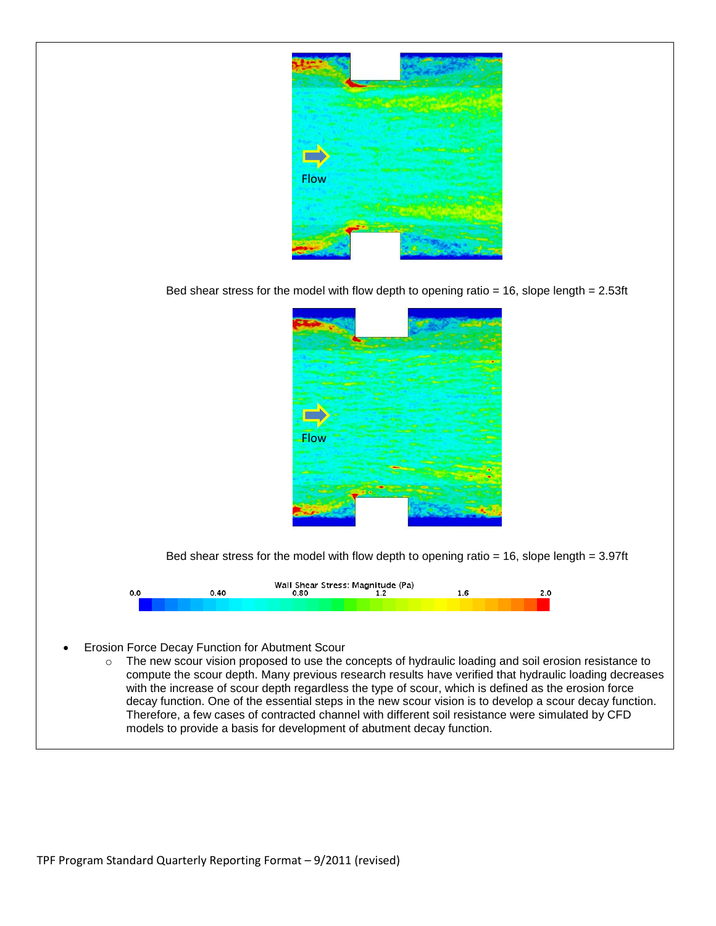

Bed shear stress for the model with flow depth to opening ratio = 16, slope length = 2.53ft



Bed shear stress for the model with flow depth to opening ratio  $= 16$ , slope length  $= 3.97$ ft



- Erosion Force Decay Function for Abutment Scour
	- o The new scour vision proposed to use the concepts of hydraulic loading and soil erosion resistance to compute the scour depth. Many previous research results have verified that hydraulic loading decreases with the increase of scour depth regardless the type of scour, which is defined as the erosion force decay function. One of the essential steps in the new scour vision is to develop a scour decay function. Therefore, a few cases of contracted channel with different soil resistance were simulated by CFD models to provide a basis for development of abutment decay function.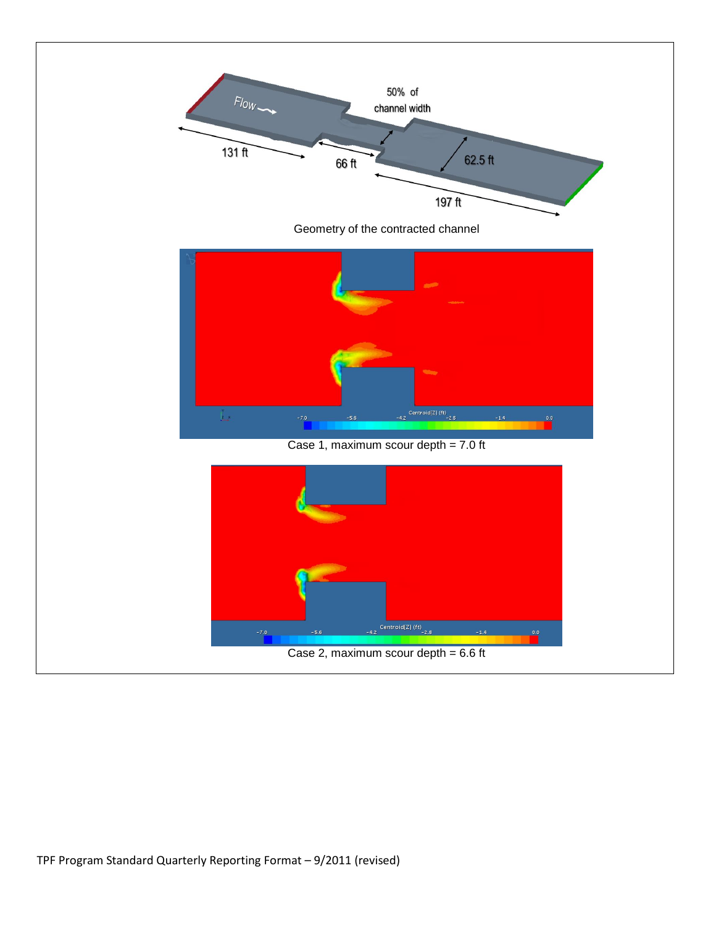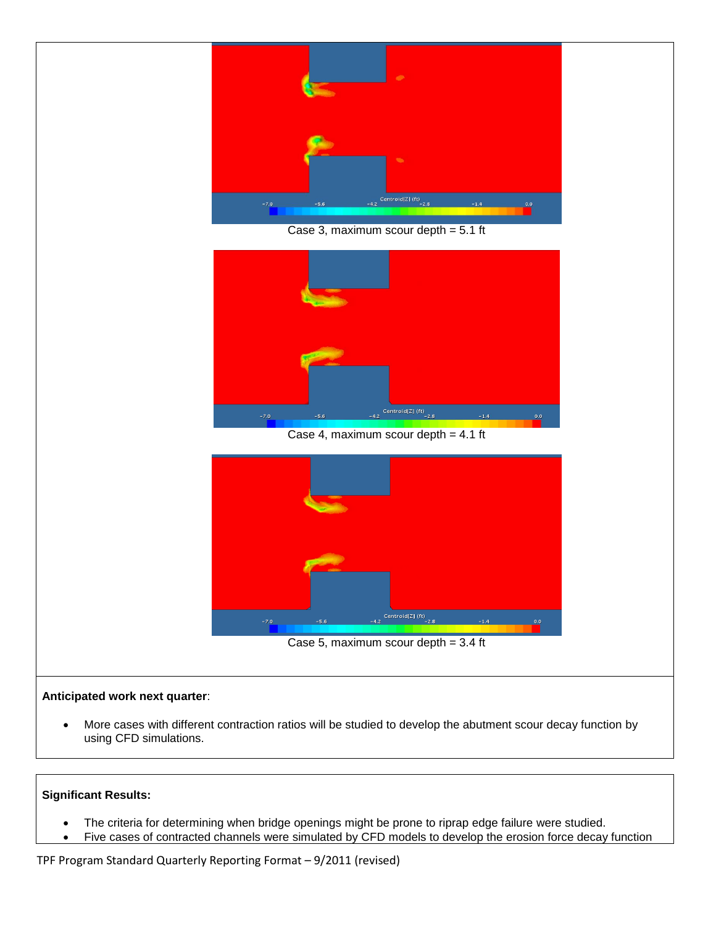

 More cases with different contraction ratios will be studied to develop the abutment scour decay function by using CFD simulations.

# **Significant Results:**

- The criteria for determining when bridge openings might be prone to riprap edge failure were studied.
- Five cases of contracted channels were simulated by CFD models to develop the erosion force decay function

TPF Program Standard Quarterly Reporting Format – 9/2011 (revised)